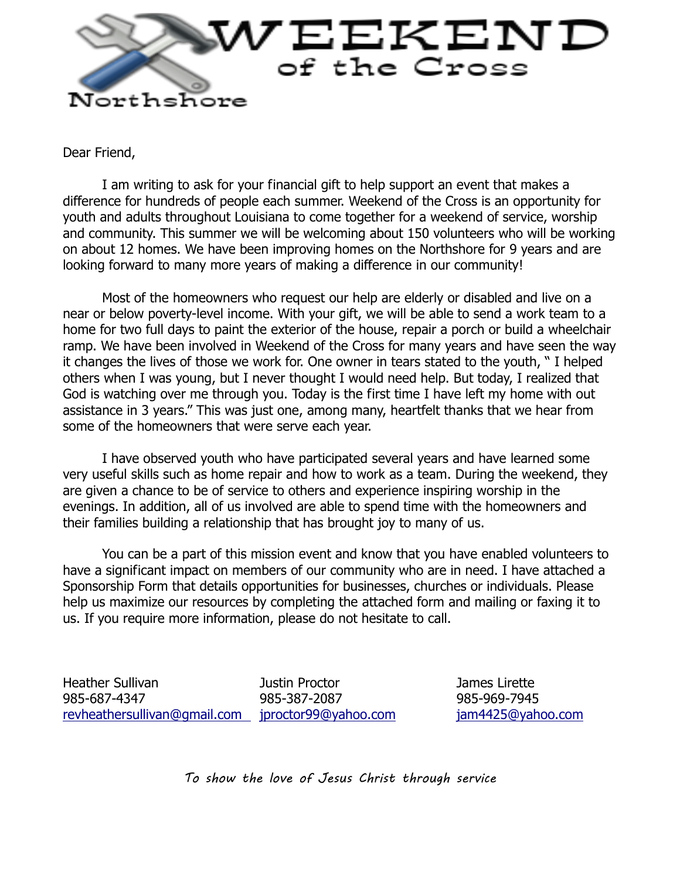

Dear Friend,

I am writing to ask for your financial gift to help support an event that makes a difference for hundreds of people each summer. Weekend of the Cross is an opportunity for youth and adults throughout Louisiana to come together for a weekend of service, worship and community. This summer we will be welcoming about 150 volunteers who will be working on about 12 homes. We have been improving homes on the Northshore for 9 years and are looking forward to many more years of making a difference in our community!

Most of the homeowners who request our help are elderly or disabled and live on a near or below poverty-level income. With your gift, we will be able to send a work team to a home for two full days to paint the exterior of the house, repair a porch or build a wheelchair ramp. We have been involved in Weekend of the Cross for many years and have seen the way it changes the lives of those we work for. One owner in tears stated to the youth, " I helped others when I was young, but I never thought I would need help. But today, I realized that God is watching over me through you. Today is the first time I have left my home with out assistance in 3 years." This was just one, among many, heartfelt thanks that we hear from some of the homeowners that were serve each year.

I have observed youth who have participated several years and have learned some very useful skills such as home repair and how to work as a team. During the weekend, they are given a chance to be of service to others and experience inspiring worship in the evenings. In addition, all of us involved are able to spend time with the homeowners and their families building a relationship that has brought joy to many of us.

You can be a part of this mission event and know that you have enabled volunteers to have a significant impact on members of our community who are in need. I have attached a Sponsorship Form that details opportunities for businesses, churches or individuals. Please help us maximize our resources by completing the attached form and mailing or faxing it to us. If you require more information, please do not hesitate to call.

Heather Sullivan Justin Proctor James Lirette 985-687-4347 985-387-2087 985-969-7945 [revheathersullivan@gmail.com](mailto:revheathersullivan@gmail.com) [jproctor99@yahoo.com](mailto:jproctor99@yahoo.com) [jam4425@yahoo.com](mailto:jam4425@yahoo.com)

*To show the love of Jesus Christ through service*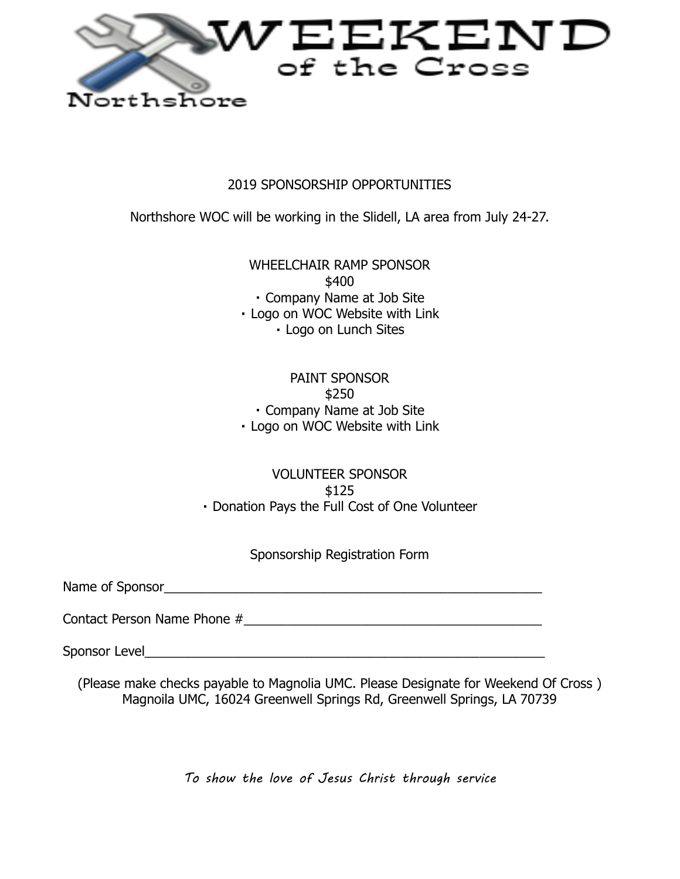

## 2019 SPONSORSHIP OPPORTUNITIES

Northshore WOC will be working in the Slidell, LA area from July 24-27.

WHEELCHAIR RAMP SPONSOR \$400 Company Name at Job Site

Logo on WOC Website with Link

Logo on Lunch Sites

## PAINT SPONSOR \$250 Company Name at Job Site Logo on WOC Website with Link

## VOLUNTEER SPONSOR \$125 Donation Pays the Full Cost of One Volunteer

Sponsorship Registration Form

Name of Sponsor

Contact Person Name Phone #\_\_\_\_\_\_\_\_\_\_\_\_\_\_\_\_\_\_\_\_\_\_\_\_\_\_\_\_\_\_\_\_\_\_\_\_\_\_\_\_\_

Sponsor Level\_\_\_\_\_\_\_\_\_\_\_\_\_\_\_\_\_\_\_\_\_\_\_\_\_\_\_\_\_\_\_\_\_\_\_\_\_\_\_\_\_\_\_\_\_\_\_\_\_\_\_\_\_\_\_

(Please make checks payable to Magnolia UMC. Please Designate for Weekend Of Cross ) Magnoila UMC, 16024 Greenwell Springs Rd, Greenwell Springs, LA 70739

*To show the love of Jesus Christ through service*